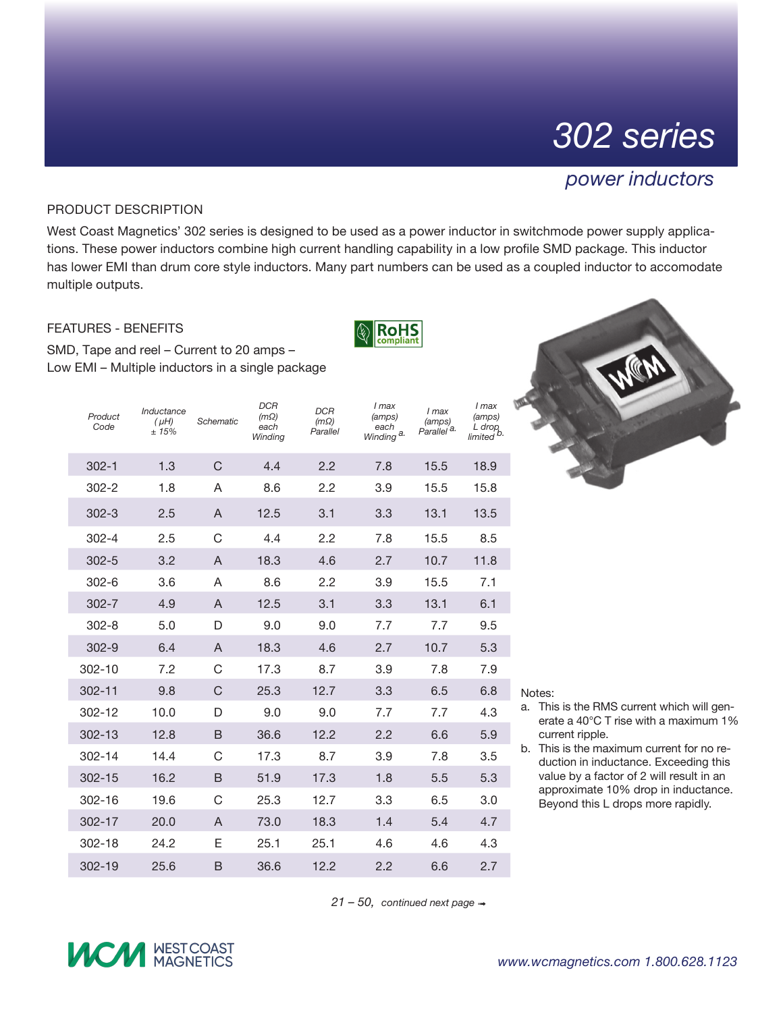# *302 series*

### *power inductors*

#### Product Description

West Coast Magnetics' 302 series is designed to be used as a power inductor in switchmode power supply applications. These power inductors combine high current handling capability in a low profile SMD package. This inductor has lower EMI than drum core style inductors. Many part numbers can be used as a coupled inductor to accomodate multiple outputs.

**RoHS** 

#### Features - Benefits

SMD, Tape and reel – Current to 20 amps – Low EMI – Multiple inductors in a single package

| Product<br>Code | Inductance<br>$(\mu H)$<br>± 15% | Schematic      | DCR<br>$(m\Omega)$<br>each<br>Winding | <b>DCR</b><br>$(m\Omega)$<br>Parallel | I max<br>(amps)<br>each<br>Winding <sup>a.</sup> | I max<br>(amps)<br>Parallel <sup>'a.</sup> | I max<br>(amps)<br>L drop<br>limited <sup>b.</sup> |
|-----------------|----------------------------------|----------------|---------------------------------------|---------------------------------------|--------------------------------------------------|--------------------------------------------|----------------------------------------------------|
| $302 - 1$       | 1.3                              | C              | 4.4                                   | 2.2                                   | 7.8                                              | 15.5                                       | 18.9                                               |
| $302 - 2$       | 1.8                              | A              | 8.6                                   | 2.2                                   | 3.9                                              | 15.5                                       | 15.8                                               |
| $302 - 3$       | 2.5                              | A              | 12.5                                  | 3.1                                   | 3.3                                              | 13.1                                       | 13.5                                               |
| $302 - 4$       | 2.5                              | C              | 4.4                                   | 2.2                                   | 7.8                                              | 15.5                                       | 8.5                                                |
| $302 - 5$       | 3.2                              | $\overline{A}$ | 18.3                                  | 4.6                                   | 2.7                                              | 10.7                                       | 11.8                                               |
| $302 - 6$       | 3.6                              | A              | 8.6                                   | 2.2                                   | 3.9                                              | 15.5                                       | 7.1                                                |
| $302 - 7$       | 4.9                              | $\mathsf{A}$   | 12.5                                  | 3.1                                   | 3.3                                              | 13.1                                       | 6.1                                                |
| $302 - 8$       | 5.0                              | D              | 9.0                                   | 9.0                                   | 7.7                                              | 7.7                                        | 9.5                                                |
| $302 - 9$       | 6.4                              | A              | 18.3                                  | 4.6                                   | 2.7                                              | 10.7                                       | 5.3                                                |
| 302-10          | 7.2                              | C              | 17.3                                  | 8.7                                   | 3.9                                              | 7.8                                        | 7.9                                                |
| $302 - 11$      | 9.8                              | C              | 25.3                                  | 12.7                                  | 3.3                                              | 6.5                                        | 6.8                                                |
| 302-12          | 10.0                             | D              | 9.0                                   | 9.0                                   | 7.7                                              | 7.7                                        | 4.3                                                |
| $302 - 13$      | 12.8                             | B              | 36.6                                  | 12.2                                  | 2.2                                              | 6.6                                        | 5.9                                                |
| 302-14          | 14.4                             | C              | 17.3                                  | 8.7                                   | 3.9                                              | 7.8                                        | 3.5                                                |
| $302 - 15$      | 16.2                             | B              | 51.9                                  | 17.3                                  | 1.8                                              | 5.5                                        | 5.3                                                |
| 302-16          | 19.6                             | C              | 25.3                                  | 12.7                                  | 3.3                                              | 6.5                                        | 3.0                                                |
| 302-17          | 20.0                             | A              | 73.0                                  | 18.3                                  | 1.4                                              | 5.4                                        | 4.7                                                |
| $302 - 18$      | 24.2                             | E              | 25.1                                  | 25.1                                  | 4.6                                              | 4.6                                        | 4.3                                                |
| $302 - 19$      | 25.6                             | B              | 36.6                                  | 12.2                                  | 2.2                                              | 6.6                                        | 2.7                                                |

Notes:

- a. This is the RMS current which will generate a 40°C T rise with a maximum 1% current ripple.
- b. This is the maximum current for no reduction in inductance. Exceeding this value by a factor of 2 will result in an approximate 10% drop in inductance. Beyond this L drops more rapidly.

21 − 50, continued next page  $→$ 

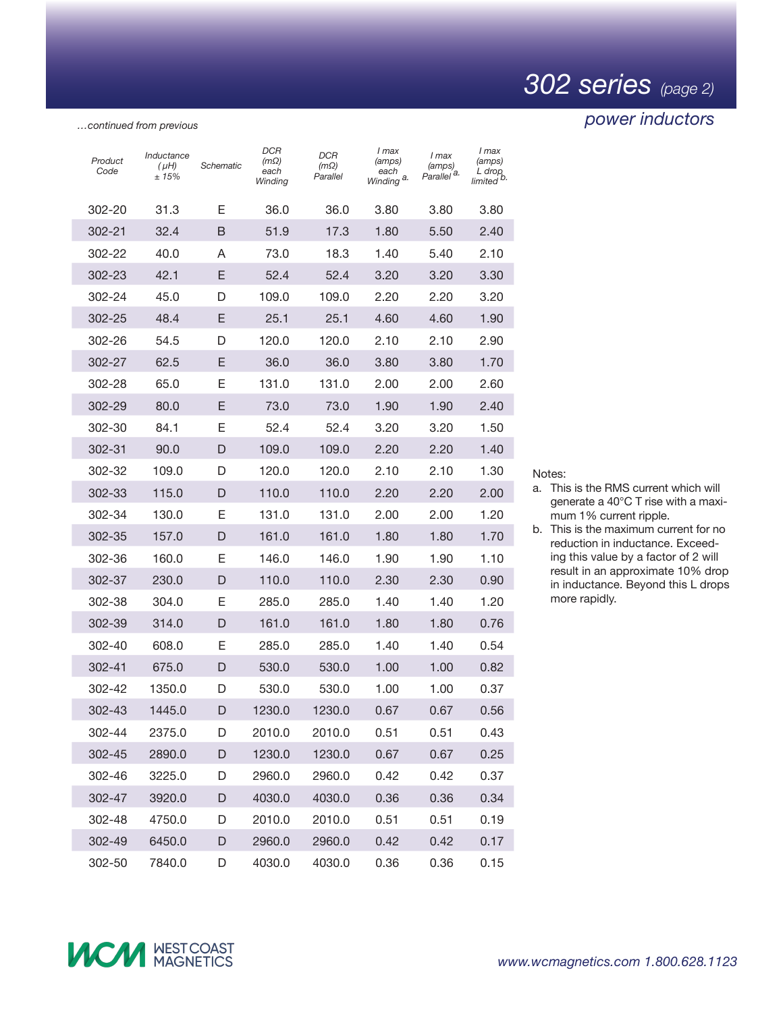## *302 series (page 2)*

### *power inductors*

*…continued from previous*

| Product<br>Code | Inductance<br>$(\mu H)$<br>±15% | Schematic | DCR<br>(mΩ)<br>each<br>Winding | DCR<br>$(m\Omega)$<br>Parallel | I max<br>(amps)<br>each<br>Winding <sup>a.</sup> | I max<br>(amps)<br>Parallel <sup>a.</sup> | I max<br>(amps)<br>L drop,<br>limited <sup>b.</sup> |
|-----------------|---------------------------------|-----------|--------------------------------|--------------------------------|--------------------------------------------------|-------------------------------------------|-----------------------------------------------------|
| 302-20          | 31.3                            | Е         | 36.0                           | 36.0                           | 3.80                                             | 3.80                                      | 3.80                                                |
| 302-21          | 32.4                            | B         | 51.9                           | 17.3                           | 1.80                                             | 5.50                                      | 2.40                                                |
| 302-22          | 40.0                            | A         | 73.0                           | 18.3                           | 1.40                                             | 5.40                                      | 2.10                                                |
| 302-23          | 42.1                            | E         | 52.4                           | 52.4                           | 3.20                                             | 3.20                                      | 3.30                                                |
| 302-24          | 45.0                            | D         | 109.0                          | 109.0                          | 2.20                                             | 2.20                                      | 3.20                                                |
| 302-25          | 48.4                            | E         | 25.1                           | 25.1                           | 4.60                                             | 4.60                                      | 1.90                                                |
| 302-26          | 54.5                            | D         | 120.0                          | 120.0                          | 2.10                                             | 2.10                                      | 2.90                                                |
| 302-27          | 62.5                            | E         | 36.0                           | 36.0                           | 3.80                                             | 3.80                                      | 1.70                                                |
| 302-28          | 65.0                            | Е         | 131.0                          | 131.0                          | 2.00                                             | 2.00                                      | 2.60                                                |
| 302-29          | 80.0                            | E         | 73.0                           | 73.0                           | 1.90                                             | 1.90                                      | 2.40                                                |
| 302-30          | 84.1                            | Е         | 52.4                           | 52.4                           | 3.20                                             | 3.20                                      | 1.50                                                |
| 302-31          | 90.0                            | D         | 109.0                          | 109.0                          | 2.20                                             | 2.20                                      | 1.40                                                |
| 302-32          | 109.0                           | D         | 120.0                          | 120.0                          | 2.10                                             | 2.10                                      | 1.30                                                |
| 302-33          | 115.0                           | D         | 110.0                          | 110.0                          | 2.20                                             | 2.20                                      | 2.00                                                |
| 302-34          | 130.0                           | Е         | 131.0                          | 131.0                          | 2.00                                             | 2.00                                      | 1.20                                                |
| 302-35          | 157.0                           | D         | 161.0                          | 161.0                          | 1.80                                             | 1.80                                      | 1.70                                                |
| 302-36          | 160.0                           | Ε         | 146.0                          | 146.0                          | 1.90                                             | 1.90                                      | 1.10                                                |
| 302-37          | 230.0                           | D         | 110.0                          | 110.0                          | 2.30                                             | 2.30                                      | 0.90                                                |
| 302-38          | 304.0                           | Ε         | 285.0                          | 285.0                          | 1.40                                             | 1.40                                      | 1.20                                                |
| 302-39          | 314.0                           | D         | 161.0                          | 161.0                          | 1.80                                             | 1.80                                      | 0.76                                                |
| 302-40          | 608.0                           | Е         | 285.0                          | 285.0                          | 1.40                                             | 1.40                                      | 0.54                                                |
| 302-41          | 675.0                           | D         | 530.0                          | 530.0                          | 1.00                                             | 1.00                                      | 0.82                                                |
| 302-42          | 1350.0                          | D         | 530.0                          | 530.0                          | 1.00                                             | 1.00                                      | 0.37                                                |
| 302-43          | 1445.0                          | D         | 1230.0                         | 1230.0                         | 0.67                                             | 0.67                                      | 0.56                                                |
| 302-44          | 2375.0                          | D         | 2010.0                         | 2010.0                         | 0.51                                             | 0.51                                      | 0.43                                                |
| 302-45          | 2890.0                          | D         | 1230.0                         | 1230.0                         | 0.67                                             | 0.67                                      | 0.25                                                |
| 302-46          | 3225.0                          | D         | 2960.0                         | 2960.0                         | 0.42                                             | 0.42                                      | 0.37                                                |
| 302-47          | 3920.0                          | D         | 4030.0                         | 4030.0                         | 0.36                                             | 0.36                                      | 0.34                                                |
| 302-48          | 4750.0                          | D         | 2010.0                         | 2010.0                         | 0.51                                             | 0.51                                      | 0.19                                                |
| 302-49          | 6450.0                          | D         | 2960.0                         | 2960.0                         | 0.42                                             | 0.42                                      | 0.17                                                |
| 302-50          | 7840.0                          | D         | 4030.0                         | 4030.0                         | 0.36                                             | 0.36                                      | 0.15                                                |

Notes:

- a. This is the RMS current which will generate a 40°C T rise with a maximum 1% current ripple.
- b. This is the maximum current for no reduction in inductance. Exceeding this value by a factor of 2 will result in an approximate 10% drop in inductance. Beyond this L drops more rapidly.